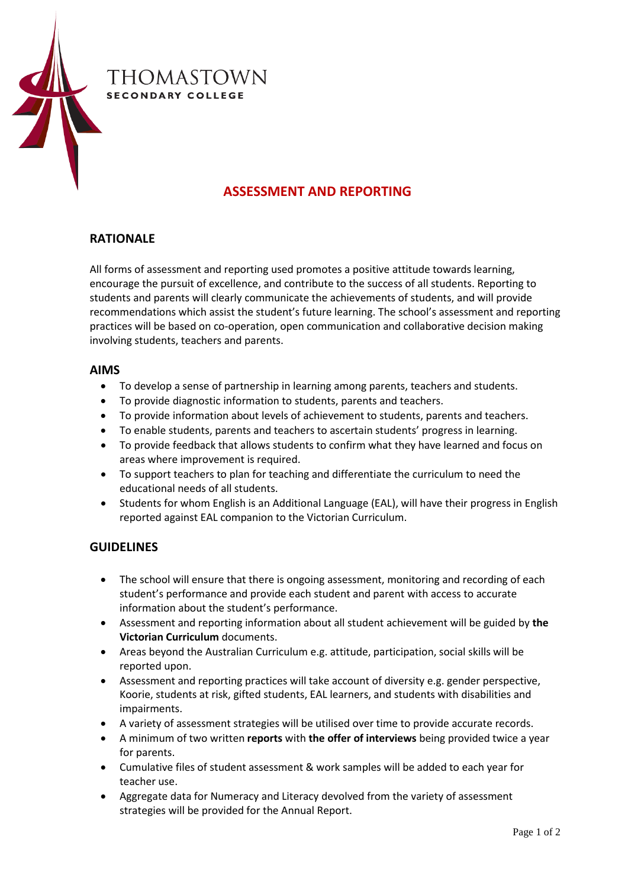

# **ASSESSMENT AND REPORTING**

## **RATIONALE**

All forms of assessment and reporting used promotes a positive attitude towards learning, encourage the pursuit of excellence, and contribute to the success of all students. Reporting to students and parents will clearly communicate the achievements of students, and will provide recommendations which assist the student's future learning. The school's assessment and reporting practices will be based on co-operation, open communication and collaborative decision making involving students, teachers and parents.

#### **AIMS**

- To develop a sense of partnership in learning among parents, teachers and students.
- To provide diagnostic information to students, parents and teachers.
- To provide information about levels of achievement to students, parents and teachers.
- To enable students, parents and teachers to ascertain students' progress in learning.
- To provide feedback that allows students to confirm what they have learned and focus on areas where improvement is required.
- To support teachers to plan for teaching and differentiate the curriculum to need the educational needs of all students.
- Students for whom English is an Additional Language (EAL), will have their progress in English reported against EAL companion to the Victorian Curriculum.

## **GUIDELINES**

- The school will ensure that there is ongoing assessment, monitoring and recording of each student's performance and provide each student and parent with access to accurate information about the student's performance.
- Assessment and reporting information about all student achievement will be guided by **the Victorian Curriculum** documents.
- Areas beyond the Australian Curriculum e.g. attitude, participation, social skills will be reported upon.
- Assessment and reporting practices will take account of diversity e.g. gender perspective, Koorie, students at risk, gifted students, EAL learners, and students with disabilities and impairments.
- A variety of assessment strategies will be utilised over time to provide accurate records.
- A minimum of two written **reports** with **the offer of interviews** being provided twice a year for parents.
- Cumulative files of student assessment & work samples will be added to each year for teacher use.
- Aggregate data for Numeracy and Literacy devolved from the variety of assessment strategies will be provided for the Annual Report.